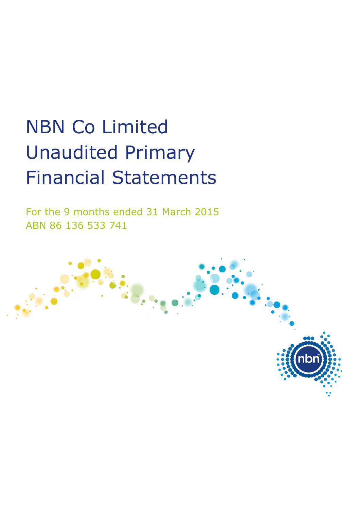# NBN Co Limited Unaudited Primary Financial Statements

For the 9 months ended 31 March 2015 ABN 86 136 533 741

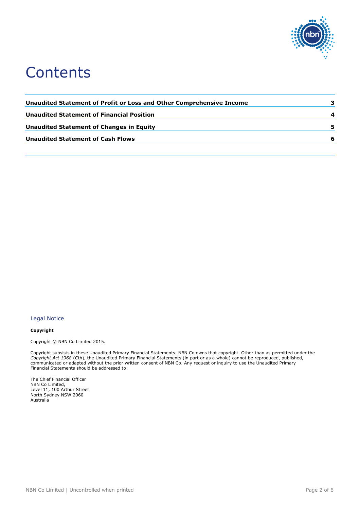

## **Contents**

| Unaudited Statement of Profit or Loss and Other Comprehensive Income |    |
|----------------------------------------------------------------------|----|
| <b>Unaudited Statement of Financial Position</b>                     | 4  |
| Unaudited Statement of Changes in Equity                             | 5. |
| <b>Unaudited Statement of Cash Flows</b>                             | 6  |
|                                                                      |    |

#### Legal Notice

#### **Copyright**

Copyright © NBN Co Limited 2015.

Copyright subsists in these Unaudited Primary Financial Statements. NBN Co owns that copyright. Other than as permitted under the *Copyright Act 1968* (Cth), the Unaudited Primary Financial Statements (in part or as a whole) cannot be reproduced, published, communicated or adapted without the prior written consent of NBN Co. Any request or inquiry to use the Unaudited Primary Financial Statements should be addressed to:

The Chief Financial Officer NBN Co Limited, Level 11, 100 Arthur Street North Sydney NSW 2060 Australia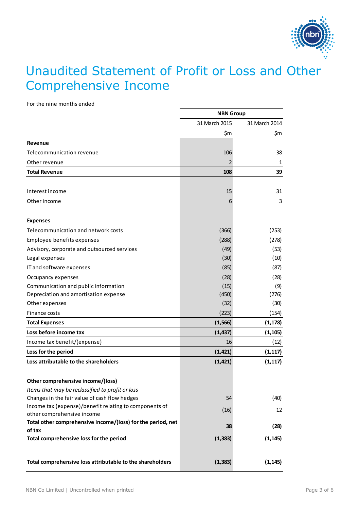

#### <span id="page-2-0"></span>Unaudited Statement of Profit or Loss and Other Comprehensive Income

For the nine months ended

|                                                                                                   | <b>NBN Group</b> |               |
|---------------------------------------------------------------------------------------------------|------------------|---------------|
|                                                                                                   | 31 March 2015    | 31 March 2014 |
|                                                                                                   | \$m              | \$m           |
| Revenue                                                                                           |                  |               |
| Telecommunication revenue                                                                         | 106              | 38            |
| Other revenue                                                                                     | 2                | 1             |
| <b>Total Revenue</b>                                                                              | 108              | 39            |
| Interest income                                                                                   | 15               | 31            |
| Other income                                                                                      | 6                | 3             |
| <b>Expenses</b>                                                                                   |                  |               |
| Telecommunication and network costs                                                               | (366)            | (253)         |
| Employee benefits expenses                                                                        | (288)            | (278)         |
| Advisory, corporate and outsourced services                                                       | (49)             | (53)          |
| Legal expenses                                                                                    | (30)             | (10)          |
| IT and software expenses                                                                          | (85)             | (87)          |
| Occupancy expenses                                                                                | (28)             | (28)          |
| Communication and public information                                                              | (15)             | (9)           |
| Depreciation and amortisation expense                                                             | (450)            | (276)         |
| Other expenses                                                                                    | (32)             | (30)          |
| Finance costs                                                                                     | (223)            | (154)         |
| <b>Total Expenses</b>                                                                             | (1, 566)         | (1, 178)      |
| Loss before income tax                                                                            | (1, 437)         | (1, 105)      |
| Income tax benefit/(expense)                                                                      | 16               | (12)          |
| Loss for the period                                                                               | (1, 421)         | (1, 117)      |
| Loss attributable to the shareholders                                                             | (1, 421)         | (1, 117)      |
|                                                                                                   |                  |               |
| Other comprehensive income/(loss)                                                                 |                  |               |
| Items that may be reclassified to profit or loss<br>Changes in the fair value of cash flow hedges | 54               |               |
| Income tax (expense)/benefit relating to components of                                            |                  | (40)          |
| other comprehensive income                                                                        | (16)             | 12            |
| Total other comprehensive income/(loss) for the period, net                                       |                  |               |
| of tax                                                                                            | 38               | (28)          |
| Total comprehensive loss for the period                                                           | (1, 383)         | (1, 145)      |
| Total comprehensive loss attributable to the shareholders                                         | (1, 383)         | (1, 145)      |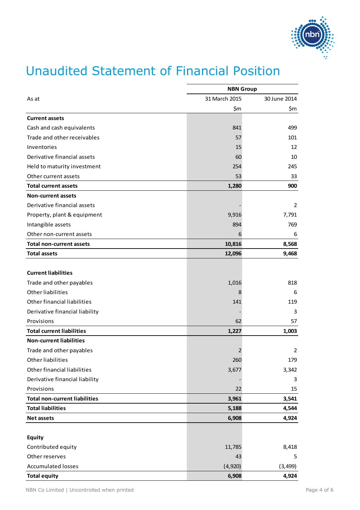

### <span id="page-3-0"></span>Unaudited Statement of Financial Position

|                                      | <b>NBN Group</b> |              |
|--------------------------------------|------------------|--------------|
| As at                                | 31 March 2015    | 30 June 2014 |
|                                      | \$m              | \$m          |
| <b>Current assets</b>                |                  |              |
| Cash and cash equivalents            | 841              | 499          |
| Trade and other receivables          | 57               | 101          |
| Inventories                          | 15               | 12           |
| Derivative financial assets          | 60               | 10           |
| Held to maturity investment          | 254              | 245          |
| Other current assets                 | 53               | 33           |
| <b>Total current assets</b>          | 1,280            | 900          |
| <b>Non-current assets</b>            |                  |              |
| Derivative financial assets          |                  | 2            |
| Property, plant & equipment          | 9,916            | 7,791        |
| Intangible assets                    | 894              | 769          |
| Other non-current assets             | 6                | 6            |
| <b>Total non-current assets</b>      | 10,816           | 8,568        |
| <b>Total assets</b>                  | 12,096           | 9,468        |
|                                      |                  |              |
| <b>Current liabilities</b>           |                  |              |
| Trade and other payables             | 1,016            | 818          |
| <b>Other liabilities</b>             | 8                | 6            |
| Other financial liabilities          | 141              | 119          |
| Derivative financial liability       |                  | 3            |
| Provisions                           | 62               | 57           |
| <b>Total current liabilities</b>     | 1,227            | 1,003        |
| <b>Non-current liabilities</b>       |                  |              |
| Trade and other payables             | 2                | 2            |
| Other liabilities                    | 260              | 179          |
| Other financial liabilities          | 3,677            | 3,342        |
| Derivative financial liability       |                  | 3            |
| Provisions                           | 22               | 15           |
| <b>Total non-current liabilities</b> | 3,961            | 3,541        |
| <b>Total liabilities</b>             | 5,188            | 4,544        |
| <b>Net assets</b>                    | 6,908            | 4,924        |
|                                      |                  |              |
| <b>Equity</b>                        |                  |              |
| Contributed equity                   | 11,785           | 8,418        |
| Other reserves                       | 43               | 5            |
| <b>Accumulated losses</b>            | (4,920)          | (3, 499)     |
| <b>Total equity</b>                  | 6,908            | 4,924        |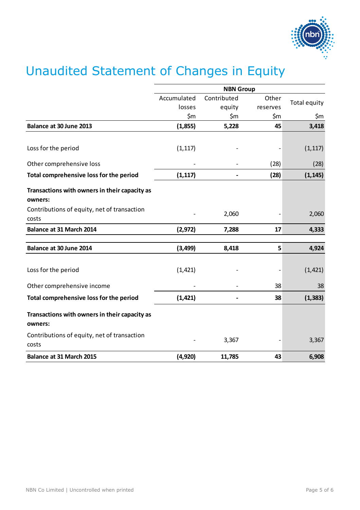

# <span id="page-4-0"></span>Unaudited Statement of Changes in Equity

|                                                          | <b>NBN Group</b> |             |          |              |
|----------------------------------------------------------|------------------|-------------|----------|--------------|
|                                                          | Accumulated      | Contributed | Other    | Total equity |
|                                                          | losses           | equity      | reserves |              |
|                                                          | \$m              | \$m         | \$m      | \$m          |
| Balance at 30 June 2013                                  | (1,855)          | 5,228       | 45       | 3,418        |
|                                                          |                  |             |          |              |
| Loss for the period                                      | (1, 117)         |             |          | (1, 117)     |
| Other comprehensive loss                                 |                  |             | (28)     | (28)         |
| Total comprehensive loss for the period                  | (1, 117)         |             | (28)     | (1, 145)     |
| Transactions with owners in their capacity as<br>owners: |                  |             |          |              |
| Contributions of equity, net of transaction<br>costs     |                  | 2,060       |          | 2,060        |
| <b>Balance at 31 March 2014</b>                          | (2, 972)         | 7,288       | 17       | 4,333        |
| Balance at 30 June 2014                                  | (3, 499)         | 8,418       | 5        | 4,924        |
|                                                          |                  |             |          |              |
| Loss for the period                                      | (1, 421)         |             |          | (1, 421)     |
| Other comprehensive income                               |                  |             | 38       | 38           |
| Total comprehensive loss for the period                  | (1, 421)         |             | 38       | (1, 383)     |
| Transactions with owners in their capacity as<br>owners: |                  |             |          |              |
| Contributions of equity, net of transaction<br>costs     |                  | 3,367       |          | 3,367        |
| <b>Balance at 31 March 2015</b>                          | (4,920)          | 11,785      | 43       | 6,908        |